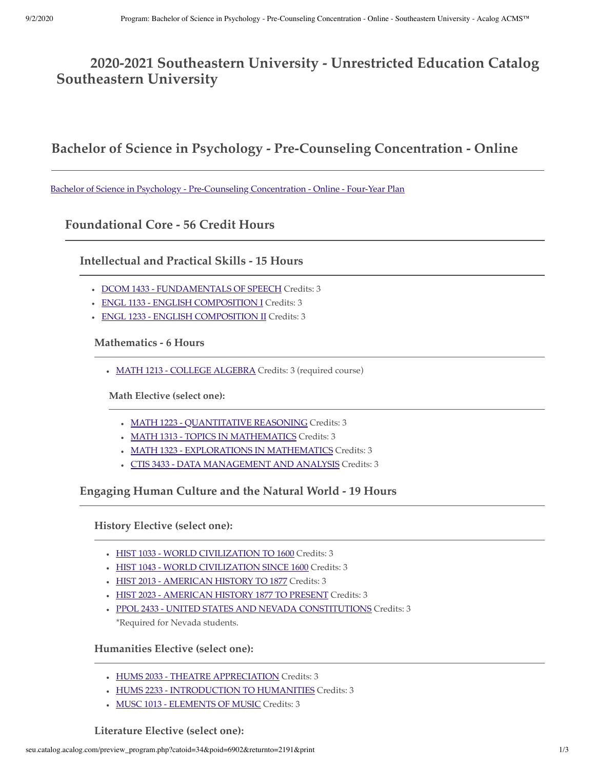# **2020-2021 Southeastern University - Unrestricted Education Catalog Southeastern University**

## **Bachelor of Science in Psychology - Pre-Counseling Concentration - Online**

[Bachelor of Science in Psychology - Pre-Counseling Concentration - Online - Four-Year Plan](http://seu.catalog.acalog.com/preview_program.php?catoid=34&poid=6903)

**Foundational Core - 56 Credit Hours**

**Intellectual and Practical Skills - 15 Hours**

- DCOM 1433 FUNDAMENTALS OF SPEECH Credits: 3
- ENGL 1133 ENGLISH COMPOSITION I Credits: 3
- ENGL 1233 ENGLISH COMPOSITION II Credits: 3

**Mathematics - 6 Hours**

• MATH 1213 - COLLEGE ALGEBRA Credits: 3 (required course)

**Math Elective (select one):**

- MATH 1223 QUANTITATIVE REASONING Credits: 3
- MATH 1313 TOPICS IN MATHEMATICS Credits: 3
- MATH 1323 EXPLORATIONS IN MATHEMATICS Credits: 3
- CTIS 3433 DATA MANAGEMENT AND ANALYSIS Credits: 3

**Engaging Human Culture and the Natural World - 19 Hours**

**History Elective (select one):**

- HIST 1033 WORLD CIVILIZATION TO 1600 Credits: 3
- HIST 1043 WORLD CIVILIZATION SINCE 1600 Credits: 3
- HIST 2013 AMERICAN HISTORY TO 1877 Credits: 3
- HIST 2023 AMERICAN HISTORY 1877 TO PRESENT Credits: 3
- PPOL 2433 UNITED STATES AND NEVADA CONSTITUTIONS Credits: 3 \*Required for Nevada students.

**Humanities Elective (select one):**

- HUMS 2033 THEATRE APPRECIATION Credits: 3
- HUMS 2233 INTRODUCTION TO HUMANITIES Credits: 3
- MUSC 1013 ELEMENTS OF MUSIC Credits: 3

#### **Literature Elective (select one):**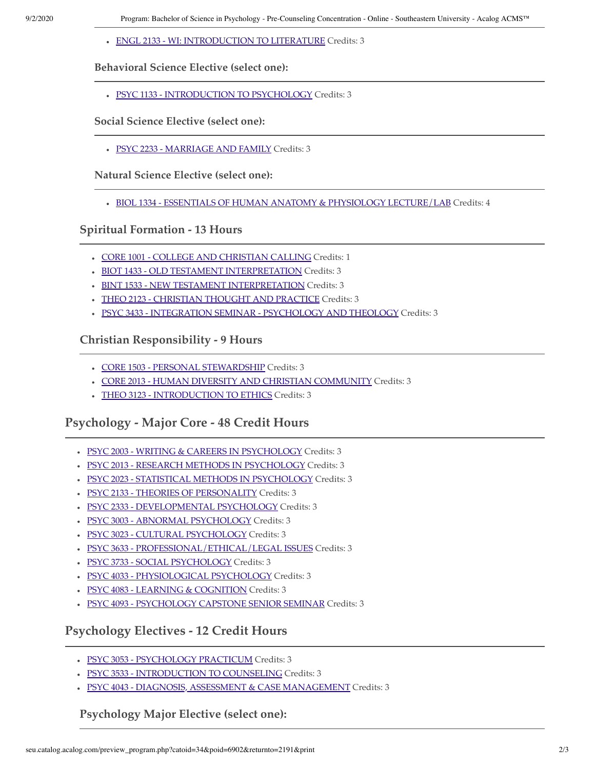ENGL 2133 - WI: INTRODUCTION TO LITERATURE Credits: 3

#### **Behavioral Science Elective (select one):**

PSYC 1133 - INTRODUCTION TO PSYCHOLOGY Credits: 3

#### **Social Science Elective (select one):**

· PSYC 2233 - MARRIAGE AND FAMILY Credits: 3

**Natural Science Elective (select one):**

BIOL 1334 - ESSENTIALS OF HUMAN ANATOMY & PHYSIOLOGY LECTURE/LAB Credits: 4

**Spiritual Formation - 13 Hours**

- CORE 1001 COLLEGE AND CHRISTIAN CALLING Credits: 1
- BIOT 1433 OLD TESTAMENT INTERPRETATION Credits: 3
- BINT 1533 NEW TESTAMENT INTERPRETATION Credits: 3
- THEO 2123 CHRISTIAN THOUGHT AND PRACTICE Credits: 3
- PSYC 3433 INTEGRATION SEMINAR PSYCHOLOGY AND THEOLOGY Credits: 3

**Christian Responsibility - 9 Hours**

- CORE 1503 PERSONAL STEWARDSHIP Credits: 3
- CORE 2013 HUMAN DIVERSITY AND CHRISTIAN COMMUNITY Credits: 3
- THEO 3123 INTRODUCTION TO ETHICS Credits: 3

**Psychology - Major Core - 48 Credit Hours**

- PSYC 2003 WRITING & CAREERS IN PSYCHOLOGY Credits: 3
- · PSYC 2013 RESEARCH METHODS IN PSYCHOLOGY Credits: 3
- PSYC 2023 STATISTICAL METHODS IN PSYCHOLOGY Credits: 3
- PSYC 2133 THEORIES OF PERSONALITY Credits: 3
- PSYC 2333 DEVELOPMENTAL PSYCHOLOGY Credits: 3
- PSYC 3003 ABNORMAL PSYCHOLOGY Credits: 3
- · PSYC 3023 CULTURAL PSYCHOLOGY Credits: 3
- PSYC 3633 PROFESSIONAL/ETHICAL/LEGAL ISSUES Credits: 3
- PSYC 3733 SOCIAL PSYCHOLOGY Credits: 3
- · PSYC 4033 PHYSIOLOGICAL PSYCHOLOGY Credits: 3
- PSYC 4083 LEARNING & COGNITION Credits: 3
- · PSYC 4093 PSYCHOLOGY CAPSTONE SENIOR SEMINAR Credits: 3

## **Psychology Electives - 12 Credit Hours**

- PSYC 3053 PSYCHOLOGY PRACTICUM Credits: 3
- · PSYC 3533 INTRODUCTION TO COUNSELING Credits: 3
- PSYC 4043 DIAGNOSIS, ASSESSMENT & CASE MANAGEMENT Credits: 3

**Psychology Major Elective (select one):**